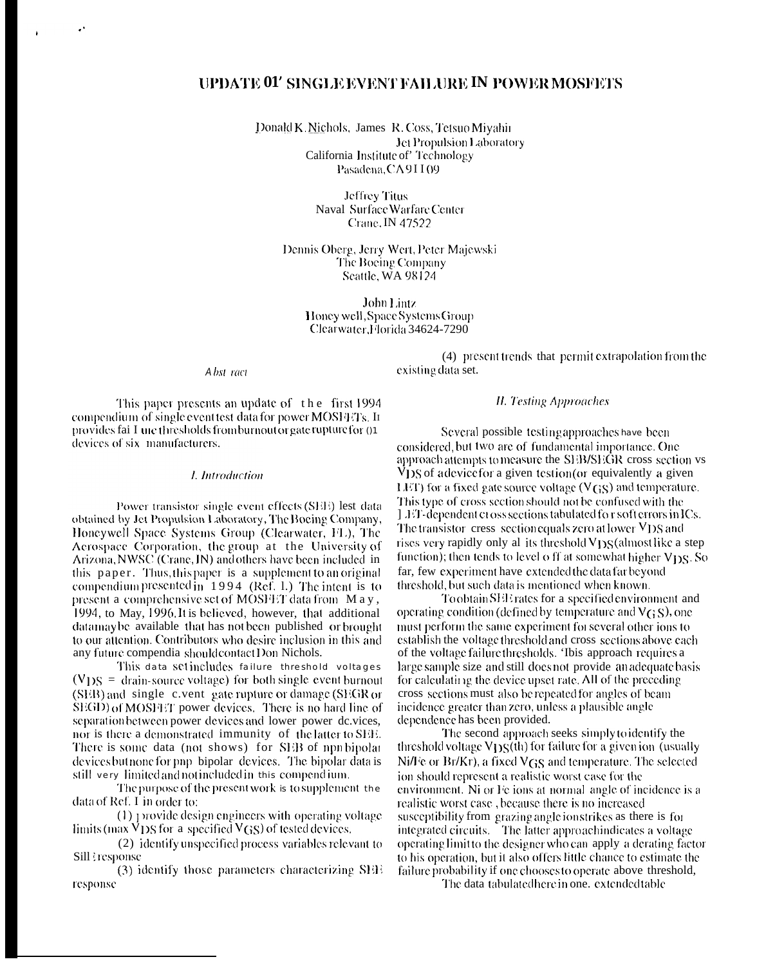# UPDATE 01' SINGLE EVENT FAILURE IN POWER MOSFETS

Donald K. Nichols, James R. Coss, Tetsuo Miyahir Jet Propulsion Laboratory California Institute of' Technology Pasadena, CA9II09

> **Jeffrey Titus** Naval Surface Warfare Center Crane, IN 47522

Dennis Oberg, Jerry Wert, Peter Majewski The Boeing Company Seattle, WA 98124

> John Lintz Honey well, Space Systems Group Clearwater, Florida 34624-7290

#### Abst ract

(4) present trends that permit extrapolation from the existing data set.

This paper presents an update of the first 1994 compendium of single event test data for power MOSHTTs. In provides fai I une thresholds from burnout or gate rupture for 01 devices of six manufacturers.

### *I.* Introduction

Power transistor single event effects (SEE) lest data obtained by Jet Propulsion Laboratory, The Boeing Company, Honeywell Space Systems Group (Clearwater, FL), The Aerospace Corporation, the group at the University of Arizona, NWSC (Crane, IN) and others have been included in this paper. Thus, this paper is a supplement to an original compendium presented in 1994 (Ref. 1.) The intent is to present a comprehensive set of MOSFET data from May, 1994, to May, 1996. It is believed, however, that additional datamaybe available that has not been published or brought to our attention. Contributors who desire inclusion in this and any future compendia should contact Don Nichols.

This data set includes failure threshold voltages  $(VDS =$  drain-source voltage) for both single event burnout (SEB) and single c.vent gate rupture or damage (SEGR or SEGD) of MOSHET power devices. There is no hard line of separation between power devices and lower power dc.vices. nor is there a demonstrated immunity of the latter to SEE. There is some data (not shows) for SEB of npn bipolar devices but none for pnp-bipolar-devices. The bipolar data is still very limited and not included in this compend ium.

The purpose of the present work is to supplement the data of Ref. I in order to:

(1) provide design engineers with operating voltage limits (max  $\overline{V}$  DS for a specified  $V$ GS) of tested devices.

(2) identify unspecified process variables relevant to Sill tresponse

(3) identify those parameters characterizing SEE response

## **H. Testing Approaches**

Several possible testing approaches have been considered, but two are of fundamental importance. One approach attempts to measure the SEB/SEGR cross section vs VDS of a device for a given testion (or equivalently a given LET) for a fixed gate source voltage ( $V(S)$ ) and temperature. This type of cross section should not be confused with the [ JET-dependent cross sections tabulated for soft errors in ICs. The transistor cress section equals zero at lower  $VDS$  and rises very rapidly only all its threshold V<sub>DS</sub> (almost like a step function); then tends to level o ff at somewhat higher  $V_{DS}$ . So far, few experiment have extended the data far beyond threshold, but such data is mentioned when known.

Toobtain SEE rates for a specified environment and operating condition (defined by temperature and  $V(s)$ ), one must perform the same experiment for several other ions to establish the voltage threshold and cross sections above each of the voltage failure thresholds. This approach requires a large sample size and still does not provide an adequate basis for calculating the device upset rate. All of the preceding cross sections must also be repeated for angles of beam incidence greater than zero, unless a plausible angle dependence has been provided.

The second approach seeks simply to identify the threshold voltage V<sub>DS</sub>(th) for failure for a given ion (usually Ni/Fe or Br/Kr), a fixed  $V$ GS and temperature. The selected ion should represent a realistic worst case for the environment. Ni or Fe ions at normal angle of incidence is a realistic worst case, because there is no increased susceptibility from grazing angle ion strikes as there is for integrated circuits. The latter approachindicates a voltage operating limit to the designer who can apply a derating factor to his operation, but it also offers little chance to estimate the failure probability if one chooses to operate above threshold,

The data tabulated here in one. extended table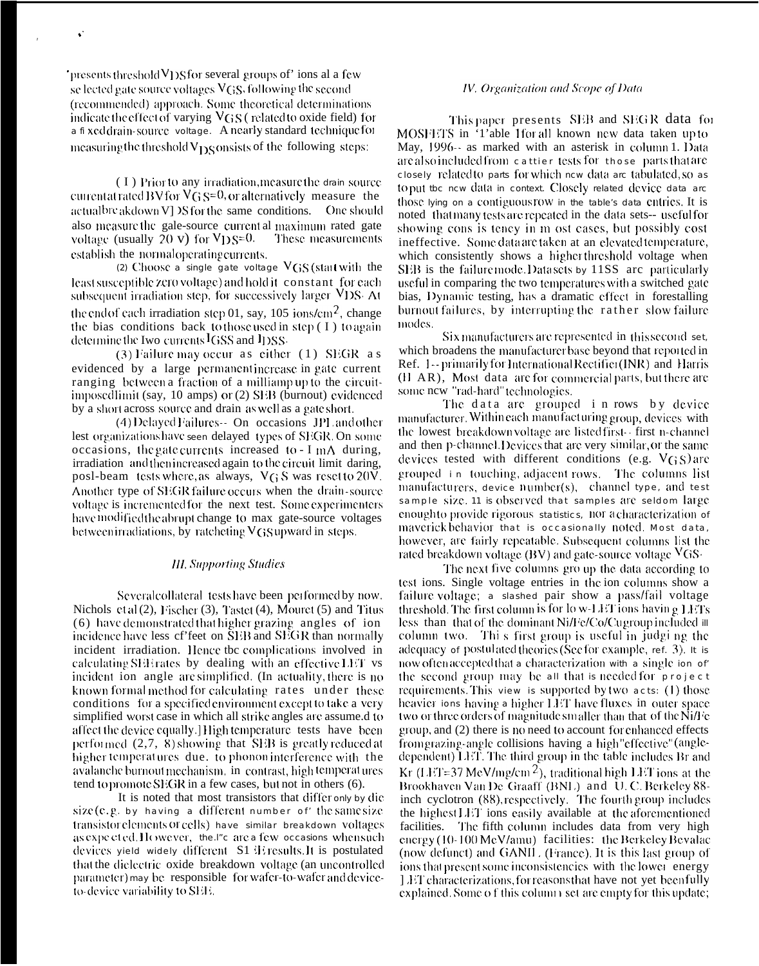'presents threshold  $V<sub>1</sub>$ )S for several groups of' ions al a few se lected gate source voltages  $V$ GS, following the second (recommended) approach. Some theoretical determinations indicate the effect of varying VGS (related to oxide field) for a fi xed drain-source voltage. A nearly standard technique for measuring the threshold  $V_{DS}$  onsists of the following steps:

 $\ddot{\phantom{a}}$ 

(I) Prior to any irradiation, measure the drain source current atrated BV for  $VG S=0$ , or alternatively measure the actual breakdown V] >S for the same conditions. One should also measure the gale-source current al maximum rated gate voltage (usually  $20 \text{ v}$ ) for  $V_{D}S=0$ . These measurements establish the normal operating currents.

(2) Choose a single gate voltage  $V$ GS (start with the least susceptible zero voltage) and hold it constant for each subsequent irradiation step, for successively larger VDS. At the end of each irradiation step 01, say, 105 ions/cm<sup>2</sup>, change the bias conditions back to those used in step (I) to again determine the Iwo currents IGSS and IDSS.

 $(3)$  Failure may occur as either  $(1)$  SEGR as evidenced by a large permanent increase in gate current ranging between a fraction of a milliampup to the circuitimposed limit (say, 10 amps) or (2) SEB (burnout) evidenced by a short across source and drain as well as a gate short.

(4) Delayed Failures-- On occasions JPL and other lest organizations have seen delayed types of SEGR. On some occasions, the gate currents increased to -  $I$  mA during, irradiation and then increased again to the circuit limit daring, posl-beam tests where, as always, VGS was reset to 20V. Another type of SEGR failure occurs when the drain-source voltage is incremented for the next test. Some experimenters have modified the abrupt change to max gate-source voltages between irradiations, by ratcheting  $V$ GS upward in steps.

### **III.** Supporting Studies

Several collateral tests have been performed by now. Nichols et al (2), Fischer (3), Tastet (4), Mouret (5) and Titus (6) have demonstrated that higher grazing angles of ion incidence have less cf'feet on SEB and SEGR than normally incident irradiation. Hence tbc complications involved in calculating SEE rates by dealing with an effective LET vs incident ion angle are simplified. (In actuality, there is no known formal method for calculating rates under these conditions for a specified environment except to take a very simplified worst case in which all strike angles are assume.d to affect the device equally. High temperature tests have been performed  $(2,7, 8)$  showing that SEB is greatly reduced at higher temperatures due. to phonon interference with the avalanche burnout mechanism, in contrast, high temperat ures tend to promote SEGR in a few cases, but not in others (6).

It is noted that most transistors that differ only by die size  $(e, g, by having a different number of the same size$ transistor elements or cells) have similar breakdown voltages as expected. However, the I''s are a few occasions when such devices yield widely different S1 iE results. It is postulated that the dielectric oxide breakdown voltage (an uncontrolled parameter) may be responsible for wafer-to-wafer and deviceto-device variability to SEE.

### IV. Organization and Scope of Data

This paper presents SEB and SEGR data for MOSFETS in '1'able 1for all known new data taken up to May, 1996-- as marked with an asterisk in column 1. Data are also included from cattier tests for those parts that are closely related to parts for which new data are tabulated, so as to put tbc new data in context. Closely related device data arc those lying on a contiguous row in the table's data entries. It is noted that many tests are repeated in the data sets-- useful for showing cons is tency in m ost cases, but possibly cost ineffective. Some data are taken at an elevated temperature, which consistently shows a higher threshold voltage when SEB is the failure mode. Datasets by 11SS are particularly useful in comparing the two temperatures with a switched gate bias, Dynamic testing, has a dramatic effect in forestalling burnout failures, by interrupting the rather slow failure modes.

Six manufacturers are represented in this second set, which broadens the manufacturer base beyond that reported in Ref. 1-- primarily for International Rectifier (INR) and Harris (II AR), Most data are for commercial parts, but there are some new "rad-hard" technologies.

The data are grouped in rows by device manufacturer. Within each manufacturing group, devices with the lowest breakdown voltage are listed first-first n-channel and then p-channel. Devices that are very similar, or the same devices tested with different conditions (e.g.  $V$ GS) are grouped in touching, adjacent rows. The columns list manufacturers, device  $number(s)$ , channel type, and test sample size. 11 is observed that samples are seldom large enoughto provide rigorous statistics, nor acharacterization of maverick behavior that is occasionally noted. Most data, however, are fairly repeatable. Subsequent columns list the rated breakdown voltage (BV) and gate-source voltage  $V$ GS-

The next five columns gro up the data according to test ions. Single voltage entries in the ion columns show a failure voltage; a stashed pair show a pass/fail voltage threshold. The first column is for low-LET ions having LETs less than that of the dominant Ni/Fe/Co/Cugroup included it column two. This first group is useful in judging the adequacy or postulated theories (See for example, ref. 3). It is now often accepted that a characterization with a single ion of the second group may be all that is needed for project requirements. This view is supported by two acts: (1) those heavier ions having a higher LET have fluxes in outer space two or three orders of magnitude smaller than that of the NiA'e group, and  $(2)$  there is no need to account for enhanced effects from grazing-angle collisions having a high "effective" (angledependent) LET. The third group in the table includes Br and Kr (LET=37 MeV/mg/cm<sup>2</sup>), traditional high LET ions at the Brookhaven Van De Graaff (BNL) and U.C. Berkeley 88inch cyclotron (88), respectively. The fourth group includes the highest LET ions easily available at the aforementioned facilities. The fifth column includes data from very high energy (10-100 MeV/amu) facilities: the Berkeley Bevalac (now defunct) and GANIL. (France). It is this last group of jons that present some inconsistencies with the lower energy [LET characterizations, for reasons that have not yet been fully explained. Some of this column set are empty for this update;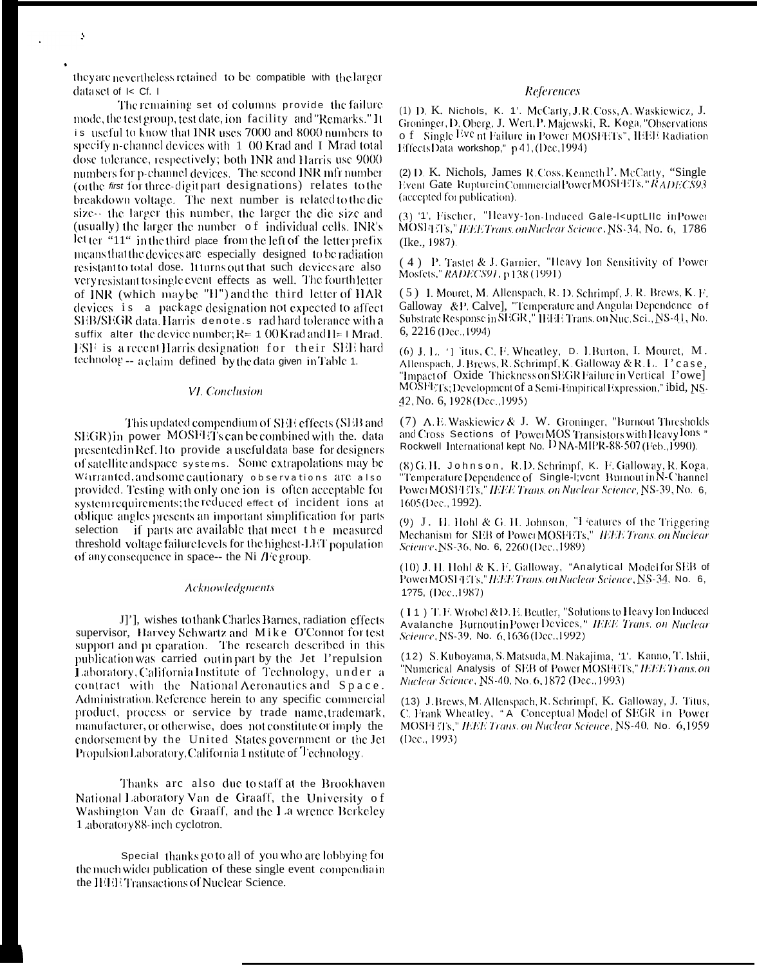they are nevertheless retained to be compatible with the larger dataset of I< Cf. 1

The remaining set of columns provide the failure mode, the test group, test date, jon facility and "Remarks." It is useful to know that INR uses 7000 and 8000 numbers to specify n-channel devices with 1 00 Krad and I Mrad total dose tolerance, respectively; both INR and Harris use 9000 numbers for p-channel devices. The second INR mfr number (orthe first for three-digit part designations) relates to the breakdown voltage. The next number is related to the die size-- the larger this number, the larger the die size and (usually) the larger the number of individual cells. INR's  $\text{let}$  ter  $\cdot$  11" in the third place from the left of the letter prefix means that the devices are especially designed to be radiation resistant to total dose. It turns out that such devices are also very resistant to single event effects as well. The fourth letter of INR (which may be "H") and the third letter of HAR devices is a package designation not expected to affect SEB/SEGR data. Harris denote s rad hard tolerance with a suffix alter the device number;  $R = 1.00$  Krad and  $H = 1$  Mrad. FSF is a recent Harris designation for their SEE hard technolog -- a claim defined by the data given in Table 1.

#### VI. Conclusion

This updated compendium of SEE effects (SEB and SEGR) in power MOSFETs can be combined with the. data presented in Ref. Ito provide a usefuldata base for designers of satellite and space systems. Some extrapolations may be Warranted, and some cautionary observations are also provided. Testing with only one ion is often acceptable for system requirements; the reduced effect of incident ions at oblique angles presents an important simplification for parts selection if parts are available that meet the measured threshold voltage failure levels for the highest-LET population of any consequence in space-- the Ni  $\beta$  e group.

#### **Acknowledgments**

J]'], wishes to thank Charles Barnes, radiation effects supervisor, Harvey Schwartz and Mike O'Connor for test support and pr eparation. The research described in this publication was carried out in part by the Jet l'repulsion Laboratory, California Institute of Technology, under a contract with the National Aeronautics and Space. Administration. Reference herein to any specific commercial product, process or service by trade name, trademark, manufacturer, or otherwise, does not constitute or imply the endorsement by the United States government or the Jet PropulsionLaboratory, California 1 nstitute of Technology.

Thanks are also due to staff at the Brookhaven National Laboratory Van de Graaff, the University of Washington Van de Graaff, and the La wrence Berkeley 1 aboratory 88-inch cyclotron.

Special thanks go to all of you who are lobbying for the much wider publication of these single event compendia in the HHETTansactions of Nuclear Science.

### References

(1) D. K. Nichols, K. 1'. McCarty, J.R. Coss, A. Waskiewicz, J. Groninger, D. Oberg, J. Wert, P. Majewski, R. Koga, "Observations o f Single Eve nt Failure in Power MOSFETs", IEEE Radiation Effects Data workshop," p 41, (Dec, 1994)

(2) D. K. Nichols, James R. Coss, Kenneth P. McCarty, "Single Event Gate Rupturein CommercialPower MOSFETs," RADECS93 (accepted for publication).

(3) '1', Fischer, "Heavy-Jon-Induced Gale-kuptLIIc in Power MOSFITs," IEEE Trans.on Nuclear Science, NS-34, No. 6, 1786 (Ike., 1987).

(4) P. Tastet & J. Garnier, "Heavy Ion Sensitivity of Power Mosfets," RADECS91, p 138 (1991)

(5) I. Mouret, M. Allenspach, R. D. Schrimpf, J. R. Brews, K. F. Galloway &P. Calve], "Temperature and Angulai Dependence of Substrate Response in SEGR," IEEE Trans. on Nuc. Sci., NS-41, No. 6, 2216 (Dec., 1994)

(6) J. L. <sup>1</sup>] itus, C. F. Wheatley, D. I. Burton, I. Mouret, M. Allenspach, J. Brews, R. Schrimpf, K. Galloway & R. L. I'case, "Impact of Oxide Thickness on SEGR Failure in Vertical Towe] MOSFETs; Development of a Semi-EmpiricalExpression," ibid, NS-42, No. 6, 1928 (Dec., 1995)

(7) A. E. Waskiewicz & J. W. Groninger, "Burnout Thresholds" and Cross Sections of PowerMOS Transistors with Heavy lons " Rockwell International kept No. D NA-MIPR-88-507 (Feb., 1990).

(8) G.H. Johnson, R.D. Schrimpf, K. F. Galloway, R. Koga, "Temperature Dependence of Single-I;vent Burnout in N-Channel<br>Power MOSFETS," IEEE Trans. on Nuclear Science, NS-39, No. 6, 1605 (Dec., 1992).

(9) J. H. Hohl & G. H. Johnson, "I 'eatures of the Triggering Mechanism for SEB of PowerMOSFETs," IEEE Trans. on Nuclear Science, NS-36, No. 6, 2260 (Dec., 1989)

(10) J. H. Hohl & K. F. Galloway, "Analytical Model for SEB of PowerMOSFETs," IEEE Trans. on Nuclear Science, NS-34. No. 6, 1275. (Dec. 1987).

(14) T.F. Wrobel & D.E. Beutler, "Solutions to Heavy Ion Induced Avalanche Burnout in Power Devices," IEEE Trans. on Nuclear<br>Science, NS-39, No. 6,1636 (Dec.,1992)

(12) S. Kuboyama, S. Matsuda, M. Nakajima, '1'. Kanno, T. Ishii, "Numerical Analysis of SEB of Power MOSFETs," IEEE Trans.on Nuclear Science, NS-40, No. 6, 1872 (Dec., 1993)

(13) J. Brews, M. Allenspach, R. Schrimpf, K. Galloway, J. Titus, C. Frank Wheatley, "A. Conceptual Model of SEGR in Power MOSH Ts," IEEE Trans. on Nuclear Science, NS-40, No. 6,1959 (Dec., 1993)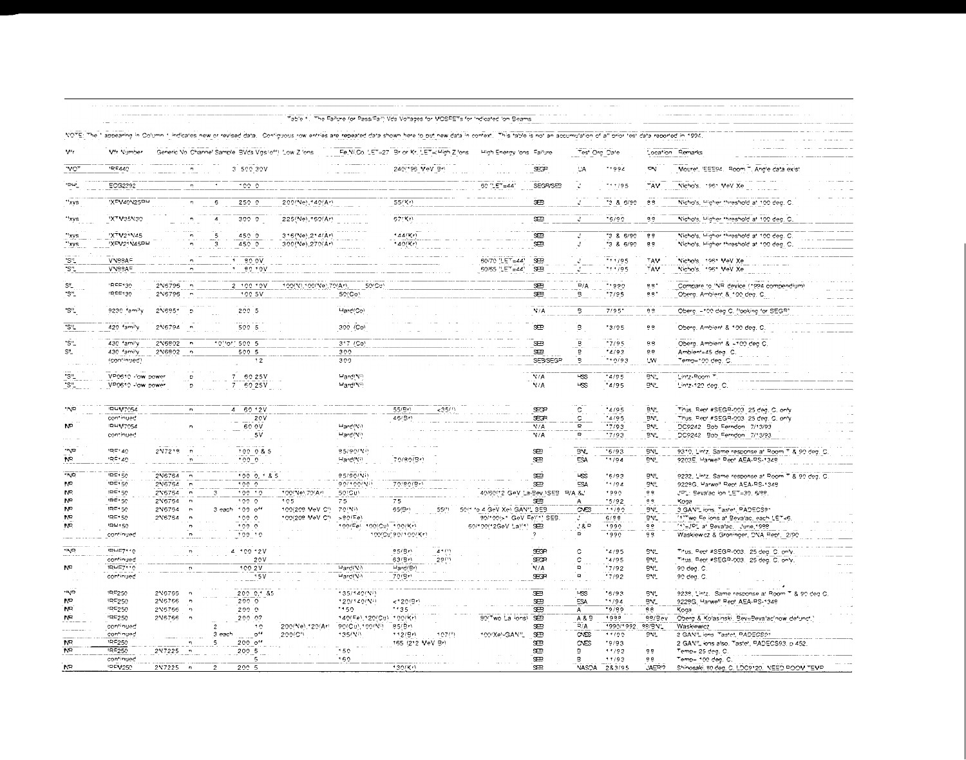|                                   |                                                      |                   |                             |                     |                                                        |                                     |                              | Table 1. The Failure (or Pass/Fail) Vds Voltages for MOSFETs for Indicated Ion Beams                                                                                                                           |                                                          |                   |                              |                        |                   |                                                                                     |
|-----------------------------------|------------------------------------------------------|-------------------|-----------------------------|---------------------|--------------------------------------------------------|-------------------------------------|------------------------------|----------------------------------------------------------------------------------------------------------------------------------------------------------------------------------------------------------------|----------------------------------------------------------|-------------------|------------------------------|------------------------|-------------------|-------------------------------------------------------------------------------------|
| <b>NOTE: The 1</b>                |                                                      |                   |                             |                     |                                                        |                                     |                              | appearing in Column 1 indicates new or revised data. Configuous row entries are repeated data shown here to put new data in context. This table is not an accumulation of all prior test data reported in 1994 |                                                          |                   |                              |                        |                   |                                                                                     |
| $V^{\prime}$ r                    | Vfr Number                                           |                   |                             |                     | Generic Vol Channel Sample, BVds Vigs/off), Low Zilons |                                     |                              | Fe, Ni, Oo. LET=27 Brior Kr, LET= High Zilons                                                                                                                                                                  | High Energy 'ons Failure                                 |                   | Test Org Date                |                        |                   | Location Remarks                                                                    |
| $\overline{\text{var}}$           | 105440                                               |                   |                             |                     | 3 500 30V                                              |                                     |                              | 240(196 MeV Br)                                                                                                                                                                                                |                                                          | EF                | <b>UA</b>                    | 1.004                  | <b>DV</b>         | Mouret, 'EEE94. Room T. Angle data exist                                            |
| ישפי                              | <b>ECG2292</b>                                       |                   | $\mathbf{r}_\mathrm{f}$     |                     | $^{\circ}$ 0.0 $^{\circ}$                              |                                     |                              |                                                                                                                                                                                                                | 60 "LET=44"                                              | SEGRISES          |                              | ***/95                 | TAV.              | Nichols, 1961 MeV Xe                                                                |
| 'xvs                              | <b>IXEV40N25PH</b>                                   |                   | $\mathcal{D}_{\mathcal{C}}$ | $\epsilon$          | 2500                                                   | 200(Ne) 140(Ar)                     |                              | 55/Kr                                                                                                                                                                                                          |                                                          | æ                 |                              | 386/90                 | 88                | Nicho's, Higher threshold at 100 deg. C                                             |
| "xys                              | <b>IXTM35N30</b>                                     |                   | 'n                          | $\pmb{\mathcal{L}}$ | 3000                                                   | 225(Ne), 150(Ar)                    |                              | 57(51)                                                                                                                                                                                                         |                                                          | œ                 | $\mathbf{r}$                 | $-6/90$                | 88                | Nichols, Higher threshold at 100 ded. O                                             |
| 'xys<br>"xys                      | <b>XTV21N45</b><br>'XFV21N45PH                       |                   |                             | 5<br>3              | 450 0<br>450 O                                         | 315(Ne) 214(Ar)<br>300/Ne), 270/Art |                              | $444$ (Kr)<br>$40$ (Kr)                                                                                                                                                                                        |                                                          | ≔<br>SER          |                              | 13 & 6/90<br>"3 & 6/90 | 66<br>89          | Nichols, Higher threshold at 100 deg. C<br>Nichols, Higher threshold at 100 deg. C  |
| 'S'L<br>"S"                       | VN98AF<br>VN99AF                                     |                   |                             |                     | 30 OV<br>9010V                                         |                                     |                              |                                                                                                                                                                                                                | 50/70 'LET=44'<br>50/65 " ET=44"                         | æ<br><b>SB</b>    |                              | $+11/95$<br>11/95      | <b>TAV</b><br>TAV | Nichols, 1961 MeV Xe<br>Nicho's.<br>1961 VeV Xe                                     |
| SL.<br>"S"_                       | 92299<br>1000730                                     | 2N6796<br>2N6796  |                             |                     | 2 100 10V<br>100.5V                                    | 100/ML100/Nel.70/Arl.               | 50/Ct <sup>1</sup><br>50(Co) |                                                                                                                                                                                                                |                                                          | SEB<br><b>SEB</b> | $\overline{P/A}$<br>5        | 11990<br>7/95          | 9.9<br>88*        | Compare to 'NR device (1994 compendium<br>Obera. Ambient & 100 dea. C.              |
| *S"_                              | 9230 family                                          | 2N685*            | $\mathcal{D}$               |                     | 200 5                                                  |                                     | Hard(Co)                     |                                                                                                                                                                                                                |                                                          | N/A               | 5                            | $7/95$ <sup>*</sup>    | 98                | Oberg, ~100 deg C, flooking for SEGR'                                               |
| $\overline{\mathbb{S}^n}$         | 420 family                                           | 2 16794           | $\overline{a}$              |                     | $500 - 5$                                              |                                     | 300 (Co)                     |                                                                                                                                                                                                                |                                                          | SER.              | в                            | '3/95                  | 98                | Oberg. Ambient & 100 deg. C.                                                        |
| "S"                               | 430 family                                           | 2 16802           | $\overline{p}$              |                     | 10"of' 500 5                                           |                                     | 317 / CO <sup>3</sup>        |                                                                                                                                                                                                                |                                                          | ச                 | ğ                            | .7/05                  | 9.9               | Oberg, Ambient & +100 deg C.                                                        |
| $S^{\prime}$                      | 430 family<br>(continued)                            | 2 16902           | $\sqrt{2}$                  |                     | 500 5<br>12                                            |                                     | 300<br>300                   |                                                                                                                                                                                                                |                                                          | œ<br>SEB/SEGP     | g<br>٠s                      | 4/93<br>110/93         | 8.8<br>UV.        | Ambient=45 deg. C.<br>Temp=100 deg. C                                               |
| "S"                               | VPOS10 - low power<br>VP0610 -low power              |                   | D<br>D.                     |                     | $\overline{7}$<br>60 25V<br>$\bar{\tau}$<br>60 25V     |                                     | Mard(Ni)<br>Mard(Ni)         |                                                                                                                                                                                                                |                                                          | V/A<br>N/A        | $\overline{5}$<br><b>LSS</b> | 4/95<br>$*4/95$        | BVL<br>BVL.       | Lin'z-Room T<br>Lintz-120 deg. C.                                                   |
| <b>*INID</b>                      | <b>IRUV7054</b>                                      |                   | $\mathbf{r}$                |                     | 4.6012V                                                |                                     |                              | 55/96<br>< 2511                                                                                                                                                                                                |                                                          | EP                | $\sigma$                     | 4/95                   | BN.               | Titus, Rept #SEGR-003 25 deg, C. only                                               |
|                                   | continued<br><b>IRHV7054</b>                         |                   |                             |                     | 20V<br>60 OV                                           |                                     | Hard(Ni)                     | 46/Br)                                                                                                                                                                                                         |                                                          | SECR<br>N/A       | C<br>Þ                       | 4/95<br>7/93           | BN.<br>BNL        | Titus, Rept #SEGR-003, 25 deg. C. only<br>DC9242 Bob Ferndon 7/13/93                |
|                                   | continued                                            |                   |                             |                     | 5V                                                     |                                     | Hard(Ni)                     |                                                                                                                                                                                                                |                                                          | N/A               | ö                            | 7/93                   | BV.               | DC9242 Bob Ferndon 7/13/93                                                          |
| סעיי<br>NR.                       | 195140<br>$\mathfrak{m} \in \mathcal{A} \mathcal{Q}$ | 2N721B            |                             |                     | 100 0 & 5                                              |                                     | 95/90/NO                     |                                                                                                                                                                                                                |                                                          |                   |                              |                        |                   |                                                                                     |
| <b>TND</b><br>N <sup>o</sup>      |                                                      |                   |                             |                     | 100.0                                                  |                                     | Hard(Ni)                     | 70/80/3rt                                                                                                                                                                                                      |                                                          | Ĥ<br>æ            | BN.<br>ESA                   | 5/93<br>11/94          | BNL.<br>BN        | 9310, Lintz. Same response at Room T & 90 deg. C<br>9203E. Harwell Pepf AEA-PS-1348 |
| N <sup>P</sup>                    | $D \subseteq B \subseteq A$                          | 2N6764            |                             |                     | 1000.185                                               |                                     | 95/90/Niv                    |                                                                                                                                                                                                                |                                                          | \$¤               | <b>LKS</b>                   | 5/93                   | BVL               | 9232, Lintz. Same response at Poom T & 90 ded. C.                                   |
|                                   | $DE + 50$<br>$IPE + 50$                              | 216754<br>2N6764  |                             |                     | $\overline{1000}$<br>100 10                            | 100/Nel.70/Arl                      | 90/100/N<br>50/Cu1           | 70/80(9+)                                                                                                                                                                                                      | 40/60/12 GeV La-Bev. \SEB                                | æ                 | <b>ESA</b><br>$P/A$ &        | 11/94<br>1000          | 5N.<br>0 R        | 9229G, Harwell Pept AEA-PS-1349<br>JPL: Bevalad ion LET=30, 6/98                    |
| NF <sub>1</sub><br>N <sub>R</sub> | 100150                                               | 2N6754            |                             |                     | 100.0                                                  | 105                                 | 75                           | 75                                                                                                                                                                                                             |                                                          | æ                 | А                            | $-5/92$                | 99                | Кода                                                                                |
| NT.                               | 1RF150<br><b>IRE150</b>                              | 246764<br>2 15764 |                             |                     | 3 each 100 off<br>100.0                                | 100(209 MeV CI)<br>100(208 MeV CI)  | 70/Ni)<br>$>90(F_0)$         | 65/Bri<br>55(1)                                                                                                                                                                                                | 50/1 to 4 GeV Xell GANIL SEB<br>90/100/>1 GeV Fel'1' SEB |                   | $\infty$                     | 11/90<br>6/9.8         | BV.<br>BVL        | 3 GAN'L ions. Tastet, PADECS91<br>11 Two Felions at Bevalac, each LET-6.            |
| NF                                | 1914150<br>continued                                 |                   |                             |                     | 100.0<br>100 10                                        |                                     | 100(Fe) 100(Cu) 100(Kr)      | 100(Cu)90/100(Kr)                                                                                                                                                                                              | 60/100/12GeV La\'11_9EB                                  | $\gamma$          | 380<br>$\sigma$              | 1990<br>1990           | 98<br>99          | "*"=JP" af Bevalac, June, 1998<br>Waskiewicz & Groninger, DNA Rept. 2/90            |
| ם אי                              | $P = 710$                                            |                   |                             |                     | 4 100 12V                                              |                                     |                              | 4711<br><b>95/BrV</b>                                                                                                                                                                                          |                                                          | SEGR              | ¢                            | $*4/95$                | <b>BNL</b>        | Titus, Pept #SEGR-003, 25 ded. C. only.                                             |
|                                   | continued                                            |                   |                             |                     | 20V                                                    |                                     |                              | 29/11<br>63/5/1                                                                                                                                                                                                |                                                          | SPOR              | C                            | 1/95                   | BNL               | Titus, Pept #SEGR-003, 25 deg. C. only.                                             |
| N <sup>o</sup>                    | 18457110<br>continued                                |                   |                             |                     | 100.2V<br>15V                                          |                                     | Hard(Ni)<br>Hard(Ni)         | Hard/Br)<br>70(9r)                                                                                                                                                                                             |                                                          | N/A<br>SEGR       | $\mathbf{D}$<br>$\mathbf{r}$ | 17/92<br>7/92          | BÝL.<br>PV.       | 90 deg. C.<br>90 deg. C.                                                            |
| סיאיי                             | 100250                                               | 2 16766           | $\overline{a}$              |                     | 200 0.1 &5                                             |                                     | 135/140(Ni)                  |                                                                                                                                                                                                                |                                                          | SB <sub>3</sub>   | $-55$                        | 56/93                  | BNL               | 9239, Lintz. Same response at Room T & 90 deg C                                     |
| NP.<br>N <sub>R</sub>             | 10,5250<br><b>IRF250</b>                             | 216766<br>2 15756 | $\overline{ }$              |                     | 2000<br>200 0                                          |                                     | 120/140(NF)<br>1150          | $<$ 120/Br)<br>**35                                                                                                                                                                                            |                                                          | æ<br>œ            | ESA<br>A                     | 1104<br>.0/80          | BÝL.<br>98        | 9228G, Harwell Rept AEA-RS-1348<br>Кода                                             |
| NB <sub>1</sub>                   | 19F250                                               | 2N6766            |                             |                     | 200.07                                                 |                                     | 140/Fel.120/Ctll             | 100/Krl                                                                                                                                                                                                        | 30 <sup>r</sup> wo La ions)                              | $\mathbf{r}$      | A & B                        | 1000                   | $99/9$ ev         | Oberg & Kolasinski, BevEBevalacinow defunct.)                                       |
|                                   | continued                                            |                   |                             |                     | 10                                                     | 200/Nel.120/Arl                     | 90/Cu) 100/V9                | 85/BrV                                                                                                                                                                                                         |                                                          | æ                 | R/A                          | 1990/1992              | 98/9N'            | Waskiewicz                                                                          |
| NB.                               | continued<br><b>19F250</b>                           |                   |                             | $3$ each            | $0$ <sup>44</sup><br>$200$ o <sup>++</sup>             | 200/07                              | 135/NB                       | 112(9)<br>107(1)<br>155 (212 MeV Br)                                                                                                                                                                           | 100/XeNGANIL                                             | æ<br>Œ            | CNES<br>CNES                 | 11/90<br>*9/93         | <b>DVL</b>        | 2 GAN'Llions, Tastet, PADECS01<br>2 GAN", lons also. Tastet, PADECS93, p 452.       |
| N <sub>B</sub>                    | 185250<br>continued                                  | 2N7225            |                             |                     | 200 5<br>5                                             |                                     | $-50$<br>160                 |                                                                                                                                                                                                                |                                                          | <b>SB</b><br>æ    | R.<br>P.                     | 11/93<br>11/93         | 99<br>98.         | Temp= 25 deq. C.<br>Temp= 100 deg. C.                                               |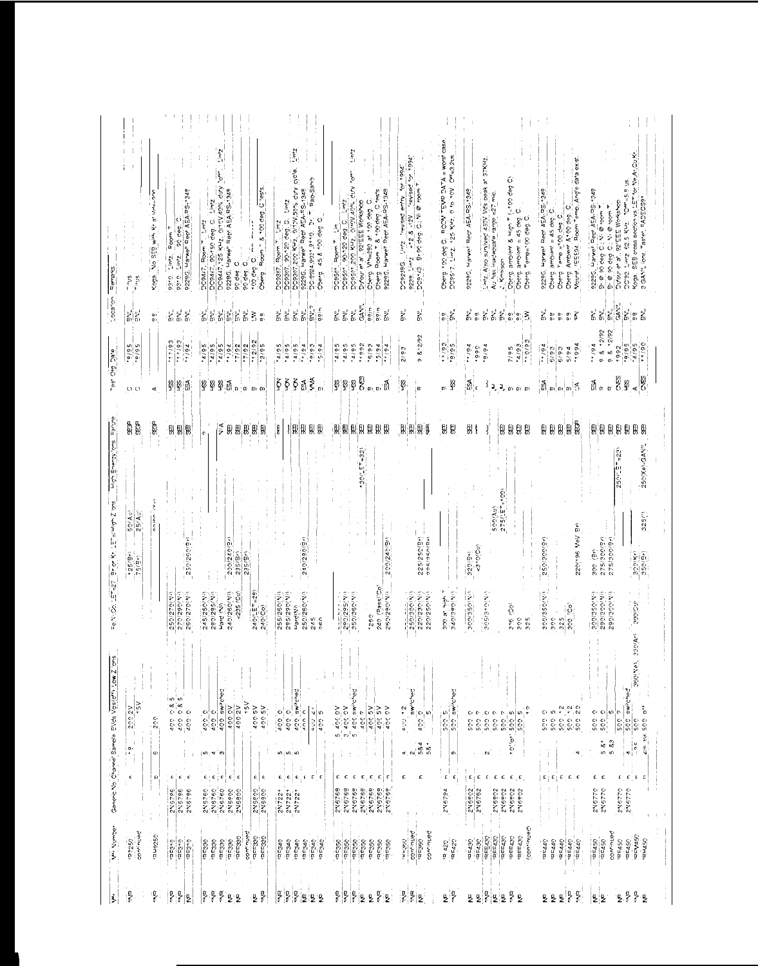| <b>Brews</b>                                                          | $\frac{5}{2}$<br>$\tilde{\mathcal{E}}_{\text{eff}}$      | Koga. No SEB with Kr at Virke-200                              | 9229G, Harwe" Rep AEA-BC-1349<br>$\circ$<br>$\frac{1}{2}$ intz. Poom T<br>္<br>၁.၁.၃<br>၁.၁ | $\overline{c}_{\mu\nu}$<br>DOBAZ, BO-150 deg. C. Lintz<br>DOBAZ, 25 KHz, 0/10V,40% duv<br>$rac{1}{\sqrt{2}}$<br>9228G, Harwell Rept AEA-RS-1348<br>Room * & 100 deg.<br>Z,<br>DC9447, Room T.<br>top deg. O. The<br>90 deg. C.<br>Oberg<br>oro den | 2.441<br>DC9307,200 KHz, 0/13V,50% duty dicte.<br><b>Eac-Samb</b><br>9229G, Harwe" Repr AEA-RS-1348<br>Zini<br>DO9307, 90-120 deg. C.<br>DC:8924,9031,9110. Dr.<br>Oberg. 45, & 100 deg. C.<br>Z.ini<br>DC9307, Room T       | Lintz<br>٠,<br>d A.<br>C <sub>tests</sub><br>9229G. Harwell Rept AEA-RS-1348<br>Ø<br>1.072<br>Diffour et al., 921EEE Workshop<br>DCe501,200 KHZ, 0/10V,40%<br>Oberg. Wh=290 at 100 deg.<br>Oberg, Poom T & 100 deg.<br>DOBS01, Room T. Lim<br>DOBS01, BO-120 deg. C. | Pool of pasiler,<br>DO2286, Lintz Travised entry for the search of the search of the process of the process of the monetage from t<br>Process Lintz Travised All States (2016)<br>Documentation of the process of the the search of the search of the se | $= 200$ case<br>DO9517, Limz, 125 KHz, 0 to 10V, Off=3.2us,<br>Dergi 199 deg C. ROOP TEW BATA                            | Liniz, Also survived 450V Vds beak at 37KHz.<br>6<br>Oberg, ambient & High T (~100 deg<br>Oberg, ambient = 45 deg, O<br>Oberg, Temp=100 deg, O<br>9229G. Harwell Rept AEA-RS-1349<br>Au has inadequate range =27<br>Kinnison                                          | Oberg, Ambient & 00 deg, C.<br>Mouret, IEE54, Room Temp, Angle data exist<br>9229G, Harwell Rept AEA-RS-1349<br>$\ddot{\circ}$<br>Oberg, Temp = 00 deg. C.<br>Oberg, ambient = 45 deg. | Koga, SEB cross section vs LET for Ne Ar Cu Kr.<br>3 GAN"Lions, Taster, PADECS91<br>St. = 9 a.a.O.<br>9229G, Harwell Rept AEA-RS-1349<br>12' EEE Workshop<br>Nie room<br>Brie so deg C., Ni @ room<br>DO'93, Lintz, 52.5 KHz.<br>ට පොටල ව<br><b>Sufour et al</b>                                       |
|-----------------------------------------------------------------------|----------------------------------------------------------|----------------------------------------------------------------|---------------------------------------------------------------------------------------------|----------------------------------------------------------------------------------------------------------------------------------------------------------------------------------------------------------------------------------------------------|------------------------------------------------------------------------------------------------------------------------------------------------------------------------------------------------------------------------------|----------------------------------------------------------------------------------------------------------------------------------------------------------------------------------------------------------------------------------------------------------------------|----------------------------------------------------------------------------------------------------------------------------------------------------------------------------------------------------------------------------------------------------------|--------------------------------------------------------------------------------------------------------------------------|-----------------------------------------------------------------------------------------------------------------------------------------------------------------------------------------------------------------------------------------------------------------------|----------------------------------------------------------------------------------------------------------------------------------------------------------------------------------------|--------------------------------------------------------------------------------------------------------------------------------------------------------------------------------------------------------------------------------------------------------------------------------------------------------|
| $-0.826$                                                              | $\tilde{\epsilon}$                                       | 0)<br>0)                                                       | 복복복                                                                                         | i<br>6 a<br>$\frac{1}{\alpha}$<br>$\frac{1}{\alpha}$<br>$\frac{1}{6}$<br>ξ<br>$\frac{\alpha}{\alpha}$                                                                                                                                              | $S/V^2$<br>ggin<br>ار<br>6<br>ار<br>G<br>$\bar{\zeta}^{\prime}$<br>ż                                                                                                                                                         | $\begin{bmatrix} 1 & 1 & 1 \\ 1 & 1 & 1 \\ 1 & 1 & 1 \end{bmatrix} \begin{bmatrix} 1 & 1 \\ 1 & 1 \\ 1 & 1 \end{bmatrix}$<br>agin<br>ggin<br>ī,                                                                                                                      | ž,<br>ار<br>۵۱                                                                                                                                                                                                                                           | $\begin{bmatrix} \mathbf{a} \\ \mathbf{b} \end{bmatrix} \begin{bmatrix} \mathbf{b}^{\prime} \\ \mathbf{b} \end{bmatrix}$ | à.<br>š,<br>ار<br>م<br>i.<br>m<br>$\begin{smallmatrix} \alpha & \alpha & \zeta \\ \alpha & \alpha & \zeta \end{smallmatrix}$<br>$_{\alpha}^{\alpha}$                                                                                                                  | $\sum_{i=1}^{n-1}\begin{bmatrix} \omega_1 & \alpha_1 & \alpha_2 \\ \vdots & \vdots & \vdots \\ \alpha_n & \alpha_1 & \alpha_2 \end{bmatrix} \widetilde{\mathbf{g}}$                    | $\frac{\alpha}{\alpha}$ $\frac{\pi}{\alpha}$                                                                                                                                                                                                                                                           |
| es Org Dale                                                           | $\frac{56/5}{66/6}$ .                                    |                                                                | $rac{26}{66}$<br>79/17                                                                      | $-12/92$<br>56/7.<br>56/5.<br>56/7.<br>2.6777<br>16/1.<br>26/1.<br>$\frac{26/2}{2}$                                                                                                                                                                | 56/7.<br>76/4.<br>56/7.<br>56/7.<br>$6.616$ .                                                                                                                                                                                | 58/7.<br>1992<br>56/7.<br>56/5.<br>76/7<br>$-5/94$                                                                                                                                                                                                                   | 98.2/92<br>20.62                                                                                                                                                                                                                                         | $\frac{5}{2}$                                                                                                            | 66/0.<br>$\ddot{a}$<br>76/6.<br>26/7.<br>óóó.<br>7/95                                                                                                                                                                                                                 | 76/4.<br>1994<br>6/93<br>6/93<br>5/94                                                                                                                                                  | 98.27<br>$98 - 8$<br>$\frac{a/95}{1/90}$<br>60/6<br>76/4.<br>1992                                                                                                                                                                                                                                      |
|                                                                       | $O$ $O$                                                  | ∢                                                              | នុង ស                                                                                       | း<br>တိုးအိမ္မွာ ထားထား<br>Ģ<br>Ø                                                                                                                                                                                                                  | WМ<br>$\zeta$<br>$\tilde{\S}$<br>ξ<br>ង្ហ<br>l<br>m                                                                                                                                                                          | ုး ဦး<br>g)<br>B<br>ுமβ                                                                                                                                                                                                                                              | ģ<br>$\alpha$                                                                                                                                                                                                                                            | 山乡                                                                                                                       | శ.<br>$\frac{3}{4}$<br>$\frac{\pi}{2}$ or $\omega$ or                                                                                                                                                                                                                 |                                                                                                                                                                                        | ្ត្រី ខ្ល<br>∡∣ອ<br>$\mathbb{R}$ and $\alpha$                                                                                                                                                                                                                                                          |
|                                                                       | \$\$                                                     | ę                                                              | 19 19<br>9                                                                                  | $\frac{1}{2}$<br>₿<br>$\theta$<br>9<br>思思<br>$\ddot{\text{c}}$                                                                                                                                                                                     | ŧ<br>8<br>ß)<br>$\mathfrak{g}_{\mathfrak{l}}$<br>Ф                                                                                                                                                                           | 側<br>開朗<br>Ø,<br>$\mathfrak{g}$<br>$^{\circ}$<br>Ø,                                                                                                                                                                                                                  | H<br>$\mathfrak{g} \mathfrak{g}$<br>H                                                                                                                                                                                                                    | 说<br>빖                                                                                                                   | ÿ,<br>99<br>비<br>g)                                                                                                                                                                                                                                                   | B<br>別田<br>B)                                                                                                                                                                          | $[ \, \, ] \,$<br>99<br>6<br>9<br>9                                                                                                                                                                                                                                                                    |
| while Swo, Kōrēvā Lāyān<br>te MiQo, 나무 427 (Brior Kr. 나무 퍼 바가 Zilons) | 50 (Au)<br>25 (Au)<br>75(9)                              | てき<br>anina                                                    | 250/250(Br)<br>250/270(N)<br>250/270(NH)<br>270'290'N                                       | $\frac{200/240}{235(5r)}$<br>$\frac{235(5r)}{235(7)}$<br>$240(157 - 29)$<br>$240(Co)$<br>280/285(V)<br>240/250(Nii)<br>$-235 (Cv)$<br>245/250 (V)<br>Hard (Vi)                                                                                     | 240/280(9+)<br>250/260(Ni)<br>255/260(N)<br>295/290(N<br>Hardi Nil<br>245<br>ρŔρ                                                                                                                                             | $130(157 - 32)$<br>200/240/91<br>240 (Pass'Co)<br>250/280 (Vi)<br>$290/285(N)$<br>$350/360(N)$<br>-260                                                                                                                                                               | 225/250(3r)<br>ククミクニュパス<br>$\frac{250/300(N)}{220/230(N)}$<br>220/250(N)                                                                                                                                                                                 | ŀ<br>S40/390/VO<br>ama at high                                                                                           | (0015.<br>500(Ay)<br>$275^{\circ}$<br><3+0/Cu)<br>220(2n)<br>300/350/VO<br>205/310(N)<br>316 (Co)<br>325<br>300                                                                                                                                                       | 220/196 VeV Br)<br>250/300(31)<br>appressibus<br>$\frac{325}{300}$ [30]<br>30C                                                                                                         | 250(Xe)-GAN!<br>$E = 23$<br>250<br>325(1)<br>275/200(2r)<br>275/200/30<br>300 (Br)<br>$300(5)$<br>$350(5)$<br>$\frac{300(350(N))}{290(300(N))}$<br>360(Ne), 330(Ar) 300(Ct)                                                                                                                            |
| $2^{\circ}$<br>Genero Vo Channel Samble EVds Vgs/011                  | İ<br>$\geq$<br>2002V<br>iai<br>Iti<br>ċ<br>$\frac{1}{2}$ | 200<br>$\mathbb{I}$<br>Î.<br>$\mathbf{C}$<br>$\mathbf{C}$<br>ţ | $\frac{1}{1}$<br>$4000085$<br>$4000085$<br>4000<br>¢<br>c<br>2N6786<br>2N6786<br>2N6786     | 400 switched<br>4.5V<br>400 ZV<br><b>AG 007</b><br>400 5V<br>400 SV<br>400.0<br>400 C<br>10, 4<br>$\boldsymbol{\infty}$<br>e je<br>¢.<br>c<br>c<br>¢<br>c<br>2N5760<br>$\frac{2N5800}{2N5800}$<br>2N5750<br>2N5800<br>2N5800                       | $\begin{array}{c}\n 20000 \\ -2000000 \\ \hline\n 00000\n \end{array}$<br>$rac{6.07}{100}$<br><b>O 077</b><br>$\mathsf c$<br>$\frac{c}{\epsilon}$<br>m, m, m<br>¢<br>$\mathfrak{c}$<br>¢<br>c<br>$\frac{2N722}{2N722}$<br>÷. | $\frac{3}{5}$ = 200.0V<br>5 = 400.0Wheel<br>5 400 OV<br>$\frac{400.5V}{400.5V}$<br>400 OV<br>400.7<br>¢<br>2N6768<br>2N6769<br>2N6769<br>2N6768<br>2V6768<br>2N676P                                                                                                  | swiched<br>$\sim 0.5$ , $\sim 2$<br>ဝျဖ)<br>400<br>4.784<br>$\ddot{\rm s}$<br>¢                                                                                                                                                                          | 500 swiched<br>in.<br>500<br>o,<br>¢<br>c<br>2N6794                                                                      | $\begin{bmatrix} 5.00 & 7 \\ -5.00 & 5 \\ -5.00 & 5 \\ 0.0 & 7 \end{bmatrix}$<br>$\phi/\phi$<br>c<br>¢,<br>0.00<br>0.00<br>500<br>500<br>$10^{11}0^{11}$<br>$\mathbf{N}$<br>c<br>c<br>c<br>c<br>c<br>$\mathbf{c}$ ,<br>2N6802<br>245752<br>2N6902<br>276902<br>2N6802 | 4<br>500 - 20<br>500 - 20<br>500 -<br>500 5<br>500 5<br>500 <sup>4</sup><br>4<br>ŧ<br>$\ddot{ }$<br>c<br><b>C</b><br>p<br>$\epsilon$                                                   | $\pm$<br>500 swiched<br>$\cdot$<br>$\cdot$<br>$\ddot{\cdot}$<br>$\begin{bmatrix} 0 & 0 & 0 \\ 0 & 0 & 0 \\ 0 & 0 & 0 \\ 0 & 0 & 0 \end{bmatrix}$<br>c<br>500<br>500<br>500<br>ę.<br>$\frac{2}{5}$<br>583<br>$\frac{1}{2}$<br>$\tilde{\omega}$<br>4<br>$\mathbf{r}$<br>¢.<br>с<br>c<br>245779<br>2N6770 |
| <b>V** Number</b>                                                     | continued<br>05220                                       | <b>JSZ6nE</b>                                                  | $rac{1}{\sqrt{2}}$<br>יפבי.<br>ergae                                                        | continued<br>decado<br>GSS33D<br>ac±330<br>0.25<br>022ab<br>OCC350<br>accas.                                                                                                                                                                       | OPESE.<br>GPS <sub>=b</sub><br>orca<br>laE340<br>raca40<br>OPS_B.                                                                                                                                                            | 5635<br>195350<br>195350<br>raF350<br>largeo<br>desab.<br><b>aF350</b>                                                                                                                                                                                               | continued<br>continued<br>CONTACT<br>VSC36V                                                                                                                                                                                                              | $n = 420$<br>12.420                                                                                                      | (continued)<br>ideE430<br><b>IRFE430</b><br><b>IREE</b> 430<br><b>PEE430</b><br><b>IRFE430</b><br>max <sub>1</sub><br>$-5230$                                                                                                                                         | 107301<br>125440<br>077321<br><b>BE440</b><br><b>IBE440</b>                                                                                                                            | continued<br><b>IDEV450</b><br><b>URHASO</b><br>$R = 450$<br><b>105750</b><br><b>DE450</b><br>10C450                                                                                                                                                                                                   |
|                                                                       | ş                                                        | ļ                                                              | ļ<br>ļ<br>g                                                                                 | Š<br>nvia<br>ş<br>$\frac{0}{2}$<br>g<br>ę                                                                                                                                                                                                          | o<br>Vit<br>ļ<br>ŗ<br>g<br>ę<br>٠g                                                                                                                                                                                           | ļ<br>ŗ<br>ļ<br>ļ<br>ė<br>٤<br>ò                                                                                                                                                                                                                                      | ŗ<br>ļ<br>$\frac{a}{2}$                                                                                                                                                                                                                                  | $2\frac{\alpha}{f}$                                                                                                      | ă<br>a<br>?<br>$\frac{\alpha}{2}$<br>ę<br>ę<br>$\frac{a}{2}$<br>2                                                                                                                                                                                                     | ۹Ņ.<br>$\frac{a}{2}$<br>ę<br>g<br>2                                                                                                                                                    | ę<br>$\hat{\vec{b}}$<br>ę<br>ę<br>ig.<br>ż                                                                                                                                                                                                                                                             |